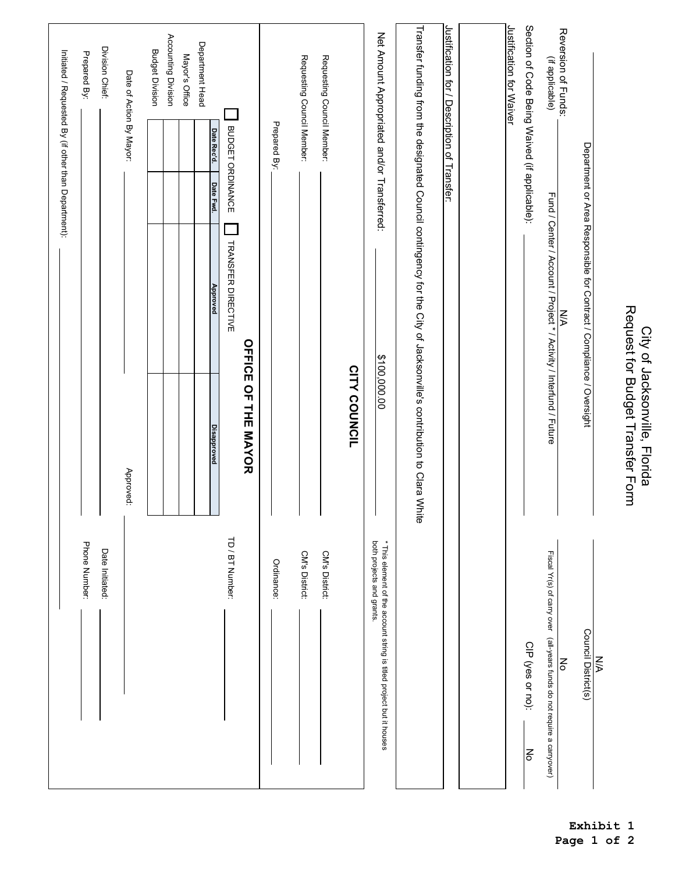|                                                                                                   |                                                                                                                     |                                                                      |           |                          | Initiated / Requested By (if other than Department): |
|---------------------------------------------------------------------------------------------------|---------------------------------------------------------------------------------------------------------------------|----------------------------------------------------------------------|-----------|--------------------------|------------------------------------------------------|
| Phone Number:                                                                                     |                                                                                                                     |                                                                      |           |                          | Prepared By:                                         |
| Date Initiated:                                                                                   |                                                                                                                     |                                                                      |           |                          | Division Chief:                                      |
|                                                                                                   | Approved:                                                                                                           |                                                                      |           | Date of Action By Mayor: |                                                      |
|                                                                                                   |                                                                                                                     |                                                                      |           |                          | <b>Budget Division</b>                               |
|                                                                                                   |                                                                                                                     |                                                                      |           |                          | Accounting Division                                  |
|                                                                                                   |                                                                                                                     |                                                                      |           |                          | Mayor's Office                                       |
|                                                                                                   | <b>Disapproved</b>                                                                                                  | <b>Approved</b>                                                      | Date Fwd. | Date Rec'd.              | Department Head                                      |
| TD / BT Number:                                                                                   |                                                                                                                     | TRANSFER DIRECTIVE                                                   |           | BUDGET ORDINANCE         |                                                      |
|                                                                                                   | <b>OFFICE OF THE MAYOR</b>                                                                                          |                                                                      |           |                          |                                                      |
| Ordinance:                                                                                        |                                                                                                                     |                                                                      |           | Prepared By:             |                                                      |
| CM's District:                                                                                    |                                                                                                                     |                                                                      |           |                          | Requesting Council Member:                           |
|                                                                                                   |                                                                                                                     |                                                                      |           |                          |                                                      |
| CM's District:                                                                                    |                                                                                                                     |                                                                      |           |                          | Requesting Council Member:                           |
|                                                                                                   | CITY COUNCIL                                                                                                        |                                                                      |           |                          |                                                      |
| both projects and grants.<br>* This element of the account string is titled project but it houses | \$100,000.00                                                                                                        |                                                                      |           |                          | Net Amount Appropriated and/or Transferred:          |
|                                                                                                   | Transfer funding from the designated Council contingency for the City of Jacksonville's contribution to Clara White |                                                                      |           |                          |                                                      |
|                                                                                                   |                                                                                                                     |                                                                      |           |                          | Justification for / Description of Transfer:         |
|                                                                                                   |                                                                                                                     |                                                                      |           |                          |                                                      |
|                                                                                                   |                                                                                                                     |                                                                      |           |                          | Justification for Waiver                             |
| CIP (yes or no):<br>No                                                                            |                                                                                                                     |                                                                      |           |                          | Section of Code Being Waived (if applicable):        |
| Fiscal Yr(s) of carry over (all-years funds do not require a carryover)                           |                                                                                                                     | Fund / Center / Account / Project * / Activity / Interfund / Future  |           |                          | (if applicable)                                      |
| $\mathop{\mathsf{S}}\nolimits$                                                                    |                                                                                                                     | <b>N/A</b>                                                           |           |                          | Reversion of Funds:                                  |
| Council District(s)                                                                               |                                                                                                                     | Department or Area Responsible for Contract / Compliance / Oversight |           |                          |                                                      |
| $\leq$                                                                                            |                                                                                                                     |                                                                      |           |                          |                                                      |
|                                                                                                   | Request for Budget Transfer Form<br>City of Jacksonville, Florida                                                   |                                                                      |           |                          |                                                      |
|                                                                                                   |                                                                                                                     |                                                                      |           |                          |                                                      |